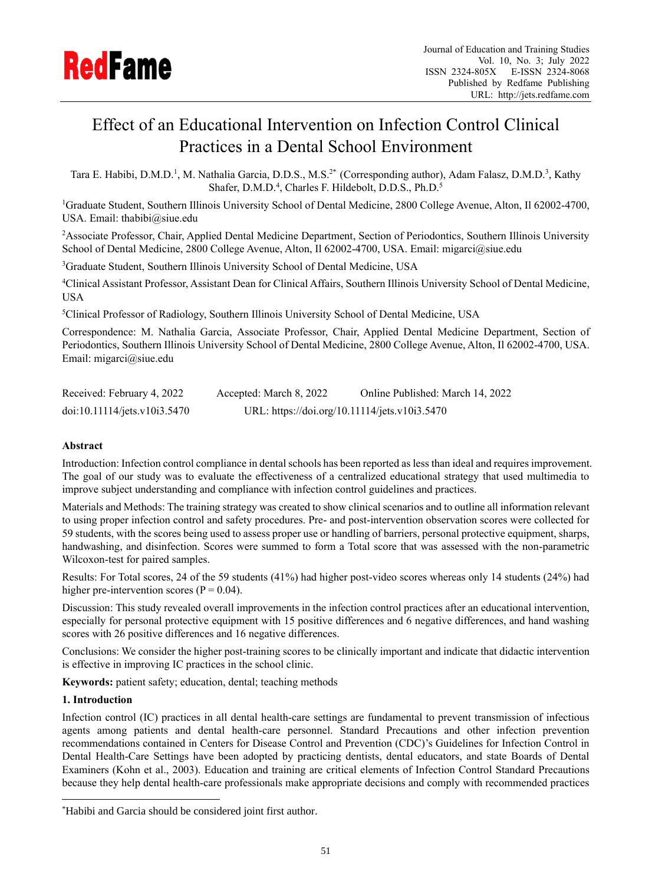

# Effect of an Educational Intervention on Infection Control Clinical Practices in a Dental School Environment

Tara E. Habibi, D.M.D.<sup>1</sup>, M. Nathalia Garcia, D.D.S., M.S.<sup>2\*</sup> (Corresponding author), Adam Falasz, D.M.D.<sup>3</sup>, Kathy Shafer, D.M.D.<sup>4</sup>, Charles F. Hildebolt, D.D.S., Ph.D.<sup>5</sup>

<sup>1</sup>Graduate Student, Southern Illinois University School of Dental Medicine, 2800 College Avenue, Alton, Il 62002-4700, USA. Email: thabibi@siue.edu

<sup>2</sup>Associate Professor, Chair, Applied Dental Medicine Department, Section of Periodontics, Southern Illinois University School of Dental Medicine, 2800 College Avenue, Alton, Il 62002-4700, USA. Email: migarci@siue.edu

<sup>3</sup>Graduate Student, Southern Illinois University School of Dental Medicine, USA

<sup>4</sup>Clinical Assistant Professor, Assistant Dean for Clinical Affairs, Southern Illinois University School of Dental Medicine, USA

<sup>5</sup>Clinical Professor of Radiology, Southern Illinois University School of Dental Medicine, USA

Correspondence: M. Nathalia Garcia, Associate Professor, Chair, Applied Dental Medicine Department, Section of Periodontics, Southern Illinois University School of Dental Medicine, 2800 College Avenue, Alton, Il 62002-4700, USA. Email: migarci@siue.edu

| Received: February 4, 2022   | Accepted: March 8, 2022                       | Online Published: March 14, 2022 |
|------------------------------|-----------------------------------------------|----------------------------------|
| doi:10.11114/jets.v10i3.5470 | URL: https://doi.org/10.11114/jets.v10i3.5470 |                                  |

# **Abstract**

Introduction: Infection control compliance in dental schools has been reported as less than ideal and requires improvement. The goal of our study was to evaluate the effectiveness of a centralized educational strategy that used multimedia to improve subject understanding and compliance with infection control guidelines and practices.

Materials and Methods: The training strategy was created to show clinical scenarios and to outline all information relevant to using proper infection control and safety procedures. Pre- and post-intervention observation scores were collected for 59 students, with the scores being used to assess proper use or handling of barriers, personal protective equipment, sharps, handwashing, and disinfection. Scores were summed to form a Total score that was assessed with the non-parametric Wilcoxon-test for paired samples.

Results: For Total scores, 24 of the 59 students (41%) had higher post-video scores whereas only 14 students (24%) had higher pre-intervention scores ( $P = 0.04$ ).

Discussion: This study revealed overall improvements in the infection control practices after an educational intervention, especially for personal protective equipment with 15 positive differences and 6 negative differences, and hand washing scores with 26 positive differences and 16 negative differences.

Conclusions: We consider the higher post-training scores to be clinically important and indicate that didactic intervention is effective in improving IC practices in the school clinic.

**Keywords:** patient safety; education, dental; teaching methods

## **1. Introduction**

Infection control (IC) practices in all dental health-care settings are fundamental to prevent transmission of infectious agents among patients and dental health-care personnel. Standard Precautions and other infection prevention recommendations contained in Centers for Disease Control and Prevention (CDC)'s Guidelines for Infection Control in Dental Health-Care Settings have been adopted by practicing dentists, dental educators, and state Boards of Dental Examiners (Kohn et al., 2003). Education and training are critical elements of Infection Control Standard Precautions because they help dental health-care professionals make appropriate decisions and comply with recommended practices

<sup>\*</sup>Habibi and Garcia should be considered joint first author.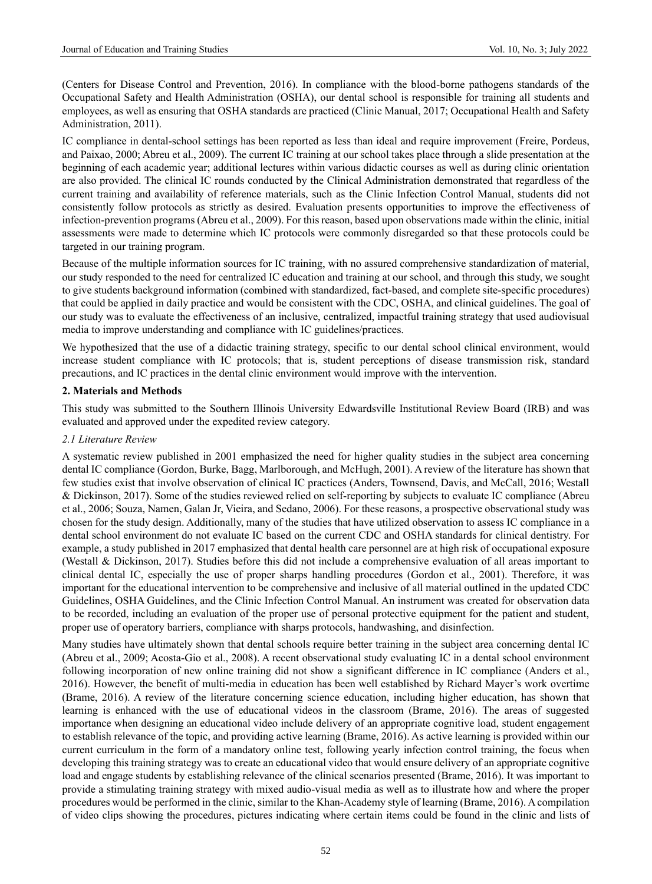(Centers for Disease Control and Prevention, 2016). In compliance with the blood-borne pathogens standards of the Occupational Safety and Health Administration (OSHA), our dental school is responsible for training all students and employees, as well as ensuring that OSHA standards are practiced (Clinic Manual, 2017; Occupational Health and Safety Administration, 2011).

IC compliance in dental-school settings has been reported as less than ideal and require improvement (Freire, Pordeus, and Paixao, 2000; Abreu et al., 2009). The current IC training at our school takes place through a slide presentation at the beginning of each academic year; additional lectures within various didactic courses as well as during clinic orientation are also provided. The clinical IC rounds conducted by the Clinical Administration demonstrated that regardless of the current training and availability of reference materials, such as the Clinic Infection Control Manual, students did not consistently follow protocols as strictly as desired. Evaluation presents opportunities to improve the effectiveness of infection-prevention programs (Abreu et al., 2009). For this reason, based upon observations made within the clinic, initial assessments were made to determine which IC protocols were commonly disregarded so that these protocols could be targeted in our training program.

Because of the multiple information sources for IC training, with no assured comprehensive standardization of material, our study responded to the need for centralized IC education and training at our school, and through this study, we sought to give students background information (combined with standardized, fact-based, and complete site-specific procedures) that could be applied in daily practice and would be consistent with the CDC, OSHA, and clinical guidelines. The goal of our study was to evaluate the effectiveness of an inclusive, centralized, impactful training strategy that used audiovisual media to improve understanding and compliance with IC guidelines/practices.

We hypothesized that the use of a didactic training strategy, specific to our dental school clinical environment, would increase student compliance with IC protocols; that is, student perceptions of disease transmission risk, standard precautions, and IC practices in the dental clinic environment would improve with the intervention.

# **2. Materials and Methods**

This study was submitted to the Southern Illinois University Edwardsville Institutional Review Board (IRB) and was evaluated and approved under the expedited review category.

# *2.1 Literature Review*

A systematic review published in 2001 emphasized the need for higher quality studies in the subject area concerning dental IC compliance (Gordon, Burke, Bagg, Marlborough, and McHugh, 2001). A review of the literature has shown that few studies exist that involve observation of clinical IC practices (Anders, Townsend, Davis, and McCall, 2016; Westall & Dickinson, 2017). Some of the studies reviewed relied on self-reporting by subjects to evaluate IC compliance (Abreu et al., 2006; Souza, Namen, Galan Jr, Vieira, and Sedano, 2006). For these reasons, a prospective observational study was chosen for the study design. Additionally, many of the studies that have utilized observation to assess IC compliance in a dental school environment do not evaluate IC based on the current CDC and OSHA standards for clinical dentistry. For example, a study published in 2017 emphasized that dental health care personnel are at high risk of occupational exposure (Westall & Dickinson, 2017). Studies before this did not include a comprehensive evaluation of all areas important to clinical dental IC, especially the use of proper sharps handling procedures (Gordon et al., 2001). Therefore, it was important for the educational intervention to be comprehensive and inclusive of all material outlined in the updated CDC Guidelines, OSHA Guidelines, and the Clinic Infection Control Manual. An instrument was created for observation data to be recorded, including an evaluation of the proper use of personal protective equipment for the patient and student, proper use of operatory barriers, compliance with sharps protocols, handwashing, and disinfection.

Many studies have ultimately shown that dental schools require better training in the subject area concerning dental IC (Abreu et al., 2009; Acosta-Gio et al., 2008). A recent observational study evaluating IC in a dental school environment following incorporation of new online training did not show a significant difference in IC compliance (Anders et al., 2016). However, the benefit of multi-media in education has been well established by Richard Mayer's work overtime (Brame, 2016). A review of the literature concerning science education, including higher education, has shown that learning is enhanced with the use of educational videos in the classroom (Brame, 2016). The areas of suggested importance when designing an educational video include delivery of an appropriate cognitive load, student engagement to establish relevance of the topic, and providing active learning (Brame, 2016). As active learning is provided within our current curriculum in the form of a mandatory online test, following yearly infection control training, the focus when developing this training strategy was to create an educational video that would ensure delivery of an appropriate cognitive load and engage students by establishing relevance of the clinical scenarios presented (Brame, 2016). It was important to provide a stimulating training strategy with mixed audio-visual media as well as to illustrate how and where the proper procedures would be performed in the clinic, similar to the Khan-Academy style of learning (Brame, 2016). A compilation of video clips showing the procedures, pictures indicating where certain items could be found in the clinic and lists of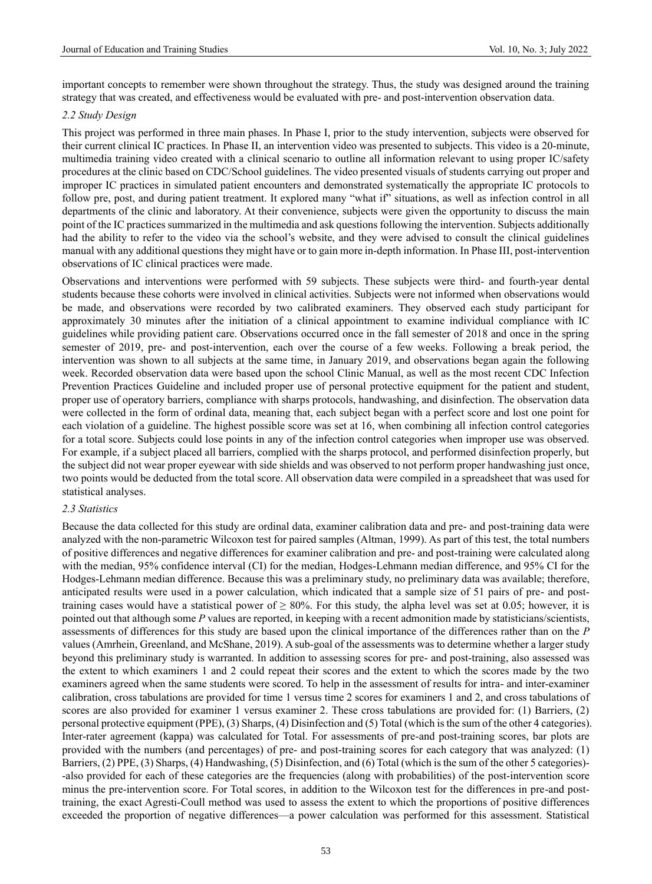important concepts to remember were shown throughout the strategy. Thus, the study was designed around the training strategy that was created, and effectiveness would be evaluated with pre- and post-intervention observation data.

## *2.2 Study Design*

This project was performed in three main phases. In Phase I, prior to the study intervention, subjects were observed for their current clinical IC practices. In Phase II, an intervention video was presented to subjects. This video is a 20-minute, multimedia training video created with a clinical scenario to outline all information relevant to using proper IC/safety procedures at the clinic based on CDC/School guidelines. The video presented visuals of students carrying out proper and improper IC practices in simulated patient encounters and demonstrated systematically the appropriate IC protocols to follow pre, post, and during patient treatment. It explored many "what if" situations, as well as infection control in all departments of the clinic and laboratory. At their convenience, subjects were given the opportunity to discuss the main point of the IC practices summarized in the multimedia and ask questions following the intervention. Subjects additionally had the ability to refer to the video via the school's website, and they were advised to consult the clinical guidelines manual with any additional questions they might have or to gain more in-depth information. In Phase III, post-intervention observations of IC clinical practices were made.

Observations and interventions were performed with 59 subjects. These subjects were third- and fourth-year dental students because these cohorts were involved in clinical activities. Subjects were not informed when observations would be made, and observations were recorded by two calibrated examiners. They observed each study participant for approximately 30 minutes after the initiation of a clinical appointment to examine individual compliance with IC guidelines while providing patient care. Observations occurred once in the fall semester of 2018 and once in the spring semester of 2019, pre- and post-intervention, each over the course of a few weeks. Following a break period, the intervention was shown to all subjects at the same time, in January 2019, and observations began again the following week. Recorded observation data were based upon the school Clinic Manual, as well as the most recent CDC Infection Prevention Practices Guideline and included proper use of personal protective equipment for the patient and student, proper use of operatory barriers, compliance with sharps protocols, handwashing, and disinfection. The observation data were collected in the form of ordinal data, meaning that, each subject began with a perfect score and lost one point for each violation of a guideline. The highest possible score was set at 16, when combining all infection control categories for a total score. Subjects could lose points in any of the infection control categories when improper use was observed. For example, if a subject placed all barriers, complied with the sharps protocol, and performed disinfection properly, but the subject did not wear proper eyewear with side shields and was observed to not perform proper handwashing just once, two points would be deducted from the total score. All observation data were compiled in a spreadsheet that was used for statistical analyses.

#### *2.3 Statistics*

Because the data collected for this study are ordinal data, examiner calibration data and pre- and post-training data were analyzed with the non-parametric Wilcoxon test for paired samples (Altman, 1999). As part of this test, the total numbers of positive differences and negative differences for examiner calibration and pre- and post-training were calculated along with the median, 95% confidence interval (CI) for the median, Hodges-Lehmann median difference, and 95% CI for the Hodges-Lehmann median difference. Because this was a preliminary study, no preliminary data was available; therefore, anticipated results were used in a power calculation, which indicated that a sample size of 51 pairs of pre- and posttraining cases would have a statistical power of  $\geq 80\%$ . For this study, the alpha level was set at 0.05; however, it is pointed out that although some *P* values are reported, in keeping with a recent admonition made by statisticians/scientists, assessments of differences for this study are based upon the clinical importance of the differences rather than on the *P* values (Amrhein, Greenland, and McShane, 2019). A sub-goal of the assessments was to determine whether a larger study beyond this preliminary study is warranted. In addition to assessing scores for pre- and post-training, also assessed was the extent to which examiners 1 and 2 could repeat their scores and the extent to which the scores made by the two examiners agreed when the same students were scored. To help in the assessment of results for intra- and inter-examiner calibration, cross tabulations are provided for time 1 versus time 2 scores for examiners 1 and 2, and cross tabulations of scores are also provided for examiner 1 versus examiner 2. These cross tabulations are provided for: (1) Barriers, (2) personal protective equipment (PPE), (3) Sharps, (4) Disinfection and (5) Total (which is the sum of the other 4 categories). Inter-rater agreement (kappa) was calculated for Total. For assessments of pre-and post-training scores, bar plots are provided with the numbers (and percentages) of pre- and post-training scores for each category that was analyzed: (1) Barriers, (2) PPE, (3) Sharps, (4) Handwashing, (5) Disinfection, and (6) Total (which is the sum of the other 5 categories)- -also provided for each of these categories are the frequencies (along with probabilities) of the post-intervention score minus the pre-intervention score. For Total scores, in addition to the Wilcoxon test for the differences in pre-and posttraining, the exact Agresti-Coull method was used to assess the extent to which the proportions of positive differences exceeded the proportion of negative differences—a power calculation was performed for this assessment. Statistical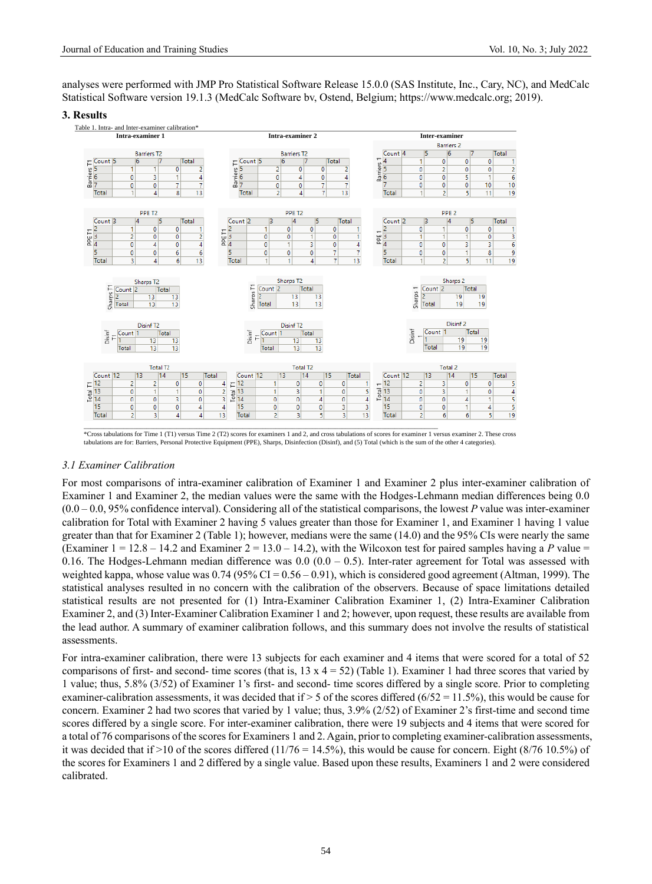analyses were performed with JMP Pro Statistical Software Release 15.0.0 (SAS Institute, Inc., Cary, NC), and MedCalc Statistical Software version 19.1.3 (MedCalc Software bv, Ostend, Belgium; https://www.medcalc.org; 2019).

#### **3. Results**



\*Cross tabulations for Time 1 (T1) versus Time 2 (T2) scores for examiners 1 and 2, and cross tabulations of scores for examiner 1 versus examiner 2. These cross tabulations are for: Barriers, Personal Protective Equipment (PPE), Sharps, Disinfection (Disinf), and (5) Total (which is the sum of the other 4 categories).

#### *3.1 Examiner Calibration*

For most comparisons of intra-examiner calibration of Examiner 1 and Examiner 2 plus inter-examiner calibration of Examiner 1 and Examiner 2, the median values were the same with the Hodges-Lehmann median differences being 0.0  $(0.0 - 0.0, 95\%$  confidence interval). Considering all of the statistical comparisons, the lowest *P* value was inter-examiner calibration for Total with Examiner 2 having 5 values greater than those for Examiner 1, and Examiner 1 having 1 value greater than that for Examiner 2 (Table 1); however, medians were the same (14.0) and the 95% CIs were nearly the same (Examiner  $1 = 12.8 - 14.2$  and Examiner  $2 = 13.0 - 14.2$ ), with the Wilcoxon test for paired samples having a P value = 0.16. The Hodges-Lehmann median difference was  $0.0 (0.0 - 0.5)$ . Inter-rater agreement for Total was assessed with weighted kappa, whose value was  $0.74$  ( $95\%$  CI =  $0.56 - 0.91$ ), which is considered good agreement (Altman, 1999). The statistical analyses resulted in no concern with the calibration of the observers. Because of space limitations detailed statistical results are not presented for (1) Intra-Examiner Calibration Examiner 1, (2) Intra-Examiner Calibration Examiner 2, and (3) Inter-Examiner Calibration Examiner 1 and 2; however, upon request, these results are available from the lead author. A summary of examiner calibration follows, and this summary does not involve the results of statistical assessments.

For intra-examiner calibration, there were 13 subjects for each examiner and 4 items that were scored for a total of 52 comparisons of first- and second- time scores (that is,  $13 \times 4 = 52$ ) (Table 1). Examiner 1 had three scores that varied by 1 value; thus, 5.8% (3/52) of Examiner 1's first- and second- time scores differed by a single score. Prior to completing examiner-calibration assessments, it was decided that if  $> 5$  of the scores differed (6/52 = 11.5%), this would be cause for concern. Examiner 2 had two scores that varied by 1 value; thus, 3.9% (2/52) of Examiner 2's first-time and second time scores differed by a single score. For inter-examiner calibration, there were 19 subjects and 4 items that were scored for a total of 76 comparisons of the scores for Examiners 1 and 2. Again, prior to completing examiner-calibration assessments, it was decided that if  $>10$  of the scores differed (11/76 = 14.5%), this would be cause for concern. Eight (8/76 10.5%) of the scores for Examiners 1 and 2 differed by a single value. Based upon these results, Examiners 1 and 2 were considered calibrated.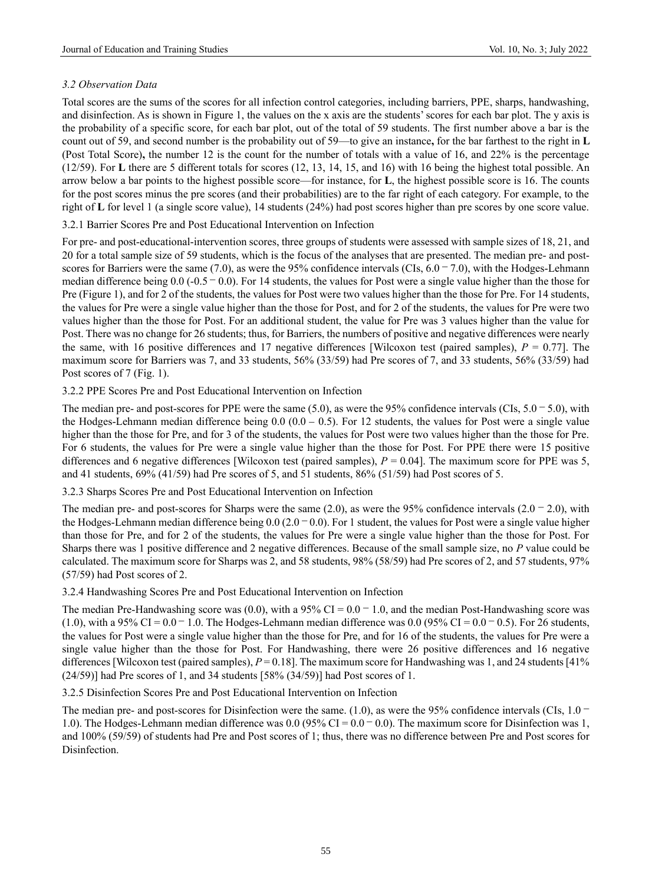# *3.2 Observation Data*

Total scores are the sums of the scores for all infection control categories, including barriers, PPE, sharps, handwashing, and disinfection. As is shown in Figure 1, the values on the x axis are the students' scores for each bar plot. The y axis is the probability of a specific score, for each bar plot, out of the total of 59 students. The first number above a bar is the count out of 59, and second number is the probability out of 59—to give an instance**,** for the bar farthest to the right in **L**  (Post Total Score)**,** the number 12 is the count for the number of totals with a value of 16, and 22% is the percentage (12/59). For **L** there are 5 different totals for scores (12, 13, 14, 15, and 16) with 16 being the highest total possible. An arrow below a bar points to the highest possible score—for instance, for **L**, the highest possible score is 16. The counts for the post scores minus the pre scores (and their probabilities) are to the far right of each category. For example, to the right of **L** for level 1 (a single score value), 14 students (24%) had post scores higher than pre scores by one score value.

3.2.1 Barrier Scores Pre and Post Educational Intervention on Infection

For pre- and post-educational-intervention scores, three groups of students were assessed with sample sizes of 18, 21, and 20 for a total sample size of 59 students, which is the focus of the analyses that are presented. The median pre- and postscores for Barriers were the same (7.0), as were the 95% confidence intervals (CIs,  $6.0 - 7.0$ ), with the Hodges-Lehmann median difference being  $0.0$  (-0.5  $-$  0.0). For 14 students, the values for Post were a single value higher than the those for Pre (Figure 1), and for 2 of the students, the values for Post were two values higher than the those for Pre. For 14 students, the values for Pre were a single value higher than the those for Post, and for 2 of the students, the values for Pre were two values higher than the those for Post. For an additional student, the value for Pre was 3 values higher than the value for Post. There was no change for 26 students; thus, for Barriers, the numbers of positive and negative differences were nearly the same, with 16 positive differences and 17 negative differences [Wilcoxon test (paired samples),  $P = 0.77$ ]. The maximum score for Barriers was 7, and 33 students, 56% (33/59) had Pre scores of 7, and 33 students, 56% (33/59) had Post scores of 7 (Fig. 1).

# 3.2.2 PPE Scores Pre and Post Educational Intervention on Infection

The median pre- and post-scores for PPE were the same  $(5.0)$ , as were the 95% confidence intervals  $(CIs, 5.0 - 5.0)$ , with the Hodges-Lehmann median difference being  $0.0$   $(0.0 - 0.5)$ . For 12 students, the values for Post were a single value higher than the those for Pre, and for 3 of the students, the values for Post were two values higher than the those for Pre. For 6 students, the values for Pre were a single value higher than the those for Post. For PPE there were 15 positive differences and 6 negative differences [Wilcoxon test (paired samples), *P* = 0.04]. The maximum score for PPE was 5, and 41 students,  $69\%$  (41/59) had Pre scores of 5, and 51 students,  $86\%$  (51/59) had Post scores of 5.

## 3.2.3 Sharps Scores Pre and Post Educational Intervention on Infection

The median pre- and post-scores for Sharps were the same (2.0), as were the 95% confidence intervals (2.0  $-$  2.0), with the Hodges-Lehmann median difference being  $0.0$  ( $2.0 - 0.0$ ). For 1 student, the values for Post were a single value higher than those for Pre, and for 2 of the students, the values for Pre were a single value higher than the those for Post. For Sharps there was 1 positive difference and 2 negative differences. Because of the small sample size, no *P* value could be calculated. The maximum score for Sharps was 2, and 58 students, 98% (58/59) had Pre scores of 2, and 57 students, 97% (57/59) had Post scores of 2.

3.2.4 Handwashing Scores Pre and Post Educational Intervention on Infection

The median Pre-Handwashing score was (0.0), with a 95% CI =  $0.0 - 1.0$ , and the median Post-Handwashing score was (1.0), with a 95% CI =  $0.0 - 1.0$ . The Hodges-Lehmann median difference was 0.0 (95% CI =  $0.0 - 0.5$ ). For 26 students, the values for Post were a single value higher than the those for Pre, and for 16 of the students, the values for Pre were a single value higher than the those for Post. For Handwashing, there were 26 positive differences and 16 negative differences [Wilcoxon test (paired samples), *P* = 0.18]. The maximum score for Handwashing was 1, and 24 students [41% (24/59)] had Pre scores of 1, and 34 students [58% (34/59)] had Post scores of 1.

3.2.5 Disinfection Scores Pre and Post Educational Intervention on Infection

The median pre- and post-scores for Disinfection were the same. (1.0), as were the 95% confidence intervals (CIs,  $1.0 -$ 1.0). The Hodges-Lehmann median difference was 0.0 (95% CI =  $0.0 - 0.0$ ). The maximum score for Disinfection was 1, and 100% (59/59) of students had Pre and Post scores of 1; thus, there was no difference between Pre and Post scores for Disinfection.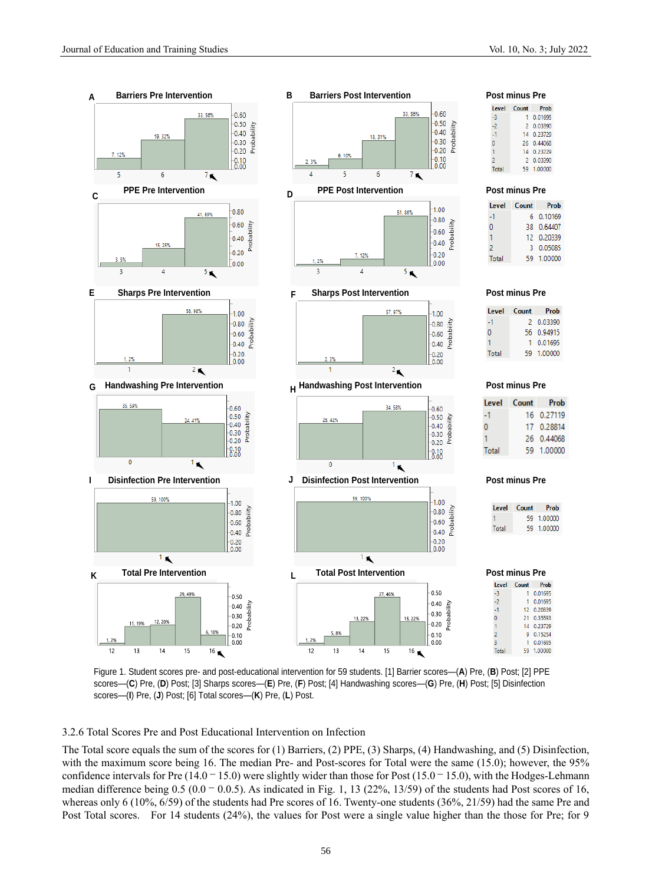

Figure 1. Student scores pre- and post-educational intervention for 59 students. [1] Barrier scores—(**A**) Pre, (**B**) Post; [2] PPE scores—(**C**) Pre, (**D**) Post; [3] Sharps scores—(**E**) Pre, (**F**) Post; [4] Handwashing scores—(**G**) Pre, (**H**) Post; [5] Disinfection scores—(**I**) Pre, (**J**) Post; [6] Total scores—(**K**) Pre, (**L**) Post.

3.2.6 Total Scores Pre and Post Educational Intervention on Infection

The Total score equals the sum of the scores for (1) Barriers, (2) PPE, (3) Sharps, (4) Handwashing, and (5) Disinfection, with the maximum score being 16. The median Pre- and Post-scores for Total were the same (15.0); however, the 95% confidence intervals for Pre  $(14.0 - 15.0)$  were slightly wider than those for Post  $(15.0 - 15.0)$ , with the Hodges-Lehmann median difference being  $0.5 (0.0 - 0.0.5)$ . As indicated in Fig. 1, 13 (22%, 13/59) of the students had Post scores of 16, whereas only 6 (10%, 6/59) of the students had Pre scores of 16. Twenty-one students (36%, 21/59) had the same Pre and Post Total scores. For 14 students (24%), the values for Post were a single value higher than the those for Pre; for 9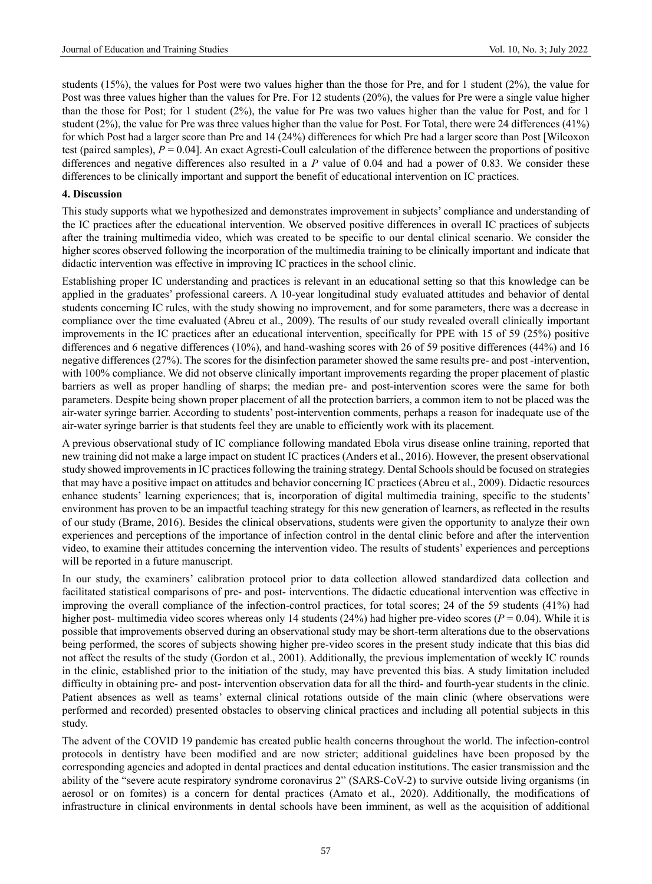students (15%), the values for Post were two values higher than the those for Pre, and for 1 student (2%), the value for Post was three values higher than the values for Pre. For 12 students (20%), the values for Pre were a single value higher than the those for Post; for 1 student (2%), the value for Pre was two values higher than the value for Post, and for 1 student (2%), the value for Pre was three values higher than the value for Post. For Total, there were 24 differences (41%) for which Post had a larger score than Pre and 14 (24%) differences for which Pre had a larger score than Post [Wilcoxon test (paired samples),  $P = 0.04$ . An exact Agresti-Coull calculation of the difference between the proportions of positive differences and negative differences also resulted in a *P* value of 0.04 and had a power of 0.83. We consider these differences to be clinically important and support the benefit of educational intervention on IC practices.

## **4. Discussion**

This study supports what we hypothesized and demonstrates improvement in subjects' compliance and understanding of the IC practices after the educational intervention. We observed positive differences in overall IC practices of subjects after the training multimedia video, which was created to be specific to our dental clinical scenario. We consider the higher scores observed following the incorporation of the multimedia training to be clinically important and indicate that didactic intervention was effective in improving IC practices in the school clinic.

Establishing proper IC understanding and practices is relevant in an educational setting so that this knowledge can be applied in the graduates' professional careers. A 10-year longitudinal study evaluated attitudes and behavior of dental students concerning IC rules, with the study showing no improvement, and for some parameters, there was a decrease in compliance over the time evaluated (Abreu et al., 2009). The results of our study revealed overall clinically important improvements in the IC practices after an educational intervention, specifically for PPE with 15 of 59 (25%) positive differences and 6 negative differences (10%), and hand-washing scores with 26 of 59 positive differences (44%) and 16 negative differences (27%). The scores for the disinfection parameter showed the same results pre- and post -intervention, with 100% compliance. We did not observe clinically important improvements regarding the proper placement of plastic barriers as well as proper handling of sharps; the median pre- and post-intervention scores were the same for both parameters. Despite being shown proper placement of all the protection barriers, a common item to not be placed was the air-water syringe barrier. According to students' post-intervention comments, perhaps a reason for inadequate use of the air-water syringe barrier is that students feel they are unable to efficiently work with its placement.

A previous observational study of IC compliance following mandated Ebola virus disease online training, reported that new training did not make a large impact on student IC practices (Anders et al., 2016). However, the present observational study showed improvements in IC practices following the training strategy. Dental Schools should be focused on strategies that may have a positive impact on attitudes and behavior concerning IC practices (Abreu et al., 2009). Didactic resources enhance students' learning experiences; that is, incorporation of digital multimedia training, specific to the students' environment has proven to be an impactful teaching strategy for this new generation of learners, as reflected in the results of our study (Brame, 2016). Besides the clinical observations, students were given the opportunity to analyze their own experiences and perceptions of the importance of infection control in the dental clinic before and after the intervention video, to examine their attitudes concerning the intervention video. The results of students' experiences and perceptions will be reported in a future manuscript.

In our study, the examiners' calibration protocol prior to data collection allowed standardized data collection and facilitated statistical comparisons of pre- and post- interventions. The didactic educational intervention was effective in improving the overall compliance of the infection-control practices, for total scores; 24 of the 59 students (41%) had higher post- multimedia video scores whereas only 14 students (24%) had higher pre-video scores (*P* = 0.04). While it is possible that improvements observed during an observational study may be short-term alterations due to the observations being performed, the scores of subjects showing higher pre-video scores in the present study indicate that this bias did not affect the results of the study (Gordon et al., 2001). Additionally, the previous implementation of weekly IC rounds in the clinic, established prior to the initiation of the study, may have prevented this bias. A study limitation included difficulty in obtaining pre- and post- intervention observation data for all the third- and fourth-year students in the clinic. Patient absences as well as teams' external clinical rotations outside of the main clinic (where observations were performed and recorded) presented obstacles to observing clinical practices and including all potential subjects in this study.

The advent of the COVID 19 pandemic has created public health concerns throughout the world. The infection-control protocols in dentistry have been modified and are now stricter; additional guidelines have been proposed by the corresponding agencies and adopted in dental practices and dental education institutions. The easier transmission and the ability of the "severe acute respiratory syndrome coronavirus 2" (SARS-CoV-2) to survive outside living organisms (in aerosol or on fomites) is a concern for dental practices (Amato et al., 2020). Additionally, the modifications of infrastructure in clinical environments in dental schools have been imminent, as well as the acquisition of additional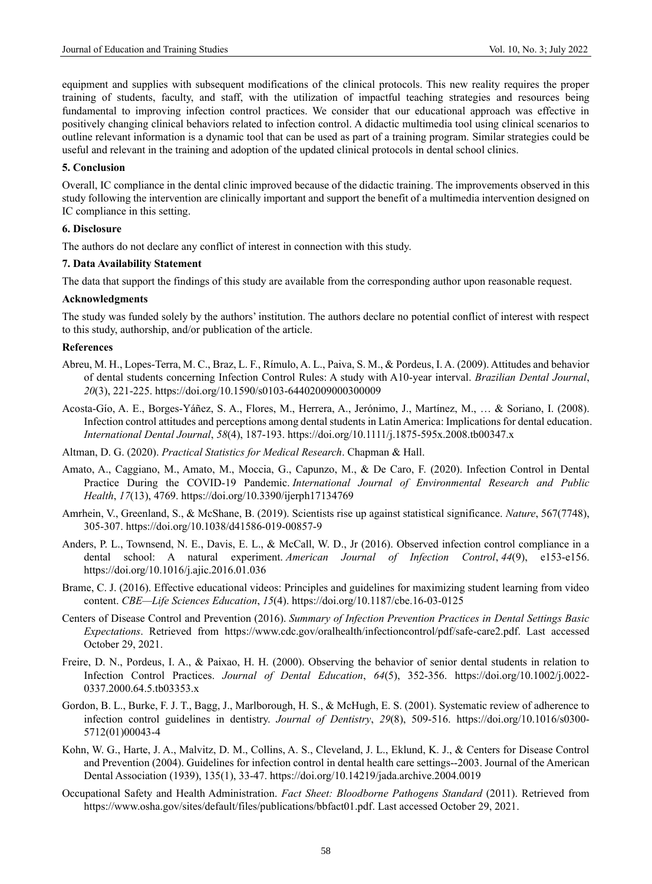equipment and supplies with subsequent modifications of the clinical protocols. This new reality requires the proper training of students, faculty, and staff, with the utilization of impactful teaching strategies and resources being fundamental to improving infection control practices. We consider that our educational approach was effective in positively changing clinical behaviors related to infection control. A didactic multimedia tool using clinical scenarios to outline relevant information is a dynamic tool that can be used as part of a training program. Similar strategies could be useful and relevant in the training and adoption of the updated clinical protocols in dental school clinics.

## **5. Conclusion**

Overall, IC compliance in the dental clinic improved because of the didactic training. The improvements observed in this study following the intervention are clinically important and support the benefit of a multimedia intervention designed on IC compliance in this setting.

### **6. Disclosure**

The authors do not declare any conflict of interest in connection with this study.

#### **7. Data Availability Statement**

The data that support the findings of this study are available from the corresponding author upon reasonable request.

#### **Acknowledgments**

The study was funded solely by the authors' institution. The authors declare no potential conflict of interest with respect to this study, authorship, and/or publication of the article.

## **References**

- Abreu, M. H., Lopes-Terra, M. C., Braz, L. F., Rímulo, A. L., Paiva, S. M., & Pordeus, I. A. (2009). Attitudes and behavior of dental students concerning Infection Control Rules: A study with A10-year interval. *Brazilian Dental Journal*, *20*(3), 221-225. https://doi.org/10.1590/s0103-64402009000300009
- Acosta-Gío, A. E., Borges-Yáñez, S. A., Flores, M., Herrera, A., Jerónimo, J., Martínez, M., … & Soriano, I. (2008). Infection control attitudes and perceptions among dental students in Latin America: Implications for dental education. *International Dental Journal*, *58*(4), 187-193. https://doi.org/10.1111/j.1875-595x.2008.tb00347.x
- Altman, D. G. (2020). *Practical Statistics for Medical Research*. Chapman & Hall.
- Amato, A., Caggiano, M., Amato, M., Moccia, G., Capunzo, M., & De Caro, F. (2020). Infection Control in Dental Practice During the COVID-19 Pandemic. *International Journal of Environmental Research and Public Health*, *17*(13), 4769. https://doi.org/10.3390/ijerph17134769
- Amrhein, V., Greenland, S., & McShane, B. (2019). Scientists rise up against statistical significance. *Nature*, 567(7748), 305-307.<https://doi.org/10.1038/d41586-019-00857-9>
- Anders, P. L., Townsend, N. E., Davis, E. L., & McCall, W. D., Jr (2016). Observed infection control compliance in a dental school: A natural experiment. *American Journal of Infection Control*, *44*(9), e153-e156. <https://doi.org/10.1016/j.ajic.2016.01.036>
- Brame, C. J. (2016). Effective educational videos: Principles and guidelines for maximizing student learning from video content. *CBE—Life Sciences Education*, *15*(4). https://doi.org/10.1187/cbe.16-03-0125
- Centers of Disease Control and Prevention (2016). *Summary of Infection Prevention Practices in Dental Settings Basic Expectations*. Retrieved from https://www.cdc.gov/oralhealth/infectioncontrol/pdf/safe-care2.pdf. Last accessed October 29, 2021.
- Freire, D. N., Pordeus, I. A., & Paixao, H. H. (2000). Observing the behavior of senior dental students in relation to Infection Control Practices. *Journal of Dental Education*, *64*(5), 352-356. [https://doi.org/10.1002/j.0022-](https://doi.org/10.1002/j.0022-0337.2000.64.5.tb03353) [0337.2000.64.5.tb03353.x](https://doi.org/10.1002/j.0022-0337.2000.64.5.tb03353)
- Gordon, B. L., Burke, F. J. T., Bagg, J., Marlborough, H. S., & McHugh, E. S. (2001). Systematic review of adherence to infection control guidelines in dentistry. *Journal of Dentistry*, *29*(8), 509-516. [https://doi.org/10.1016/s0300-](https://doi.org/10.1016/s0300-5712(01)00043-4) [5712\(01\)00043-4](https://doi.org/10.1016/s0300-5712(01)00043-4)
- Kohn, W. G., Harte, J. A., Malvitz, D. M., Collins, A. S., Cleveland, J. L., Eklund, K. J., & Centers for Disease Control and Prevention (2004). Guidelines for infection control in dental health care settings--2003. Journal of the American Dental Association (1939), 135(1), 33-47. https://doi.org/10.14219/jada.archive.2004.0019
- Occupational Safety and Health Administration. *Fact Sheet: Bloodborne Pathogens Standard* (2011). Retrieved from [https://www.osha.gov/sites/default/files/publications/bbfact01.pdf.](https://www.osha.gov/sites/default/files/publications/bbfact01.pdf) Last accessed October 29, 2021.